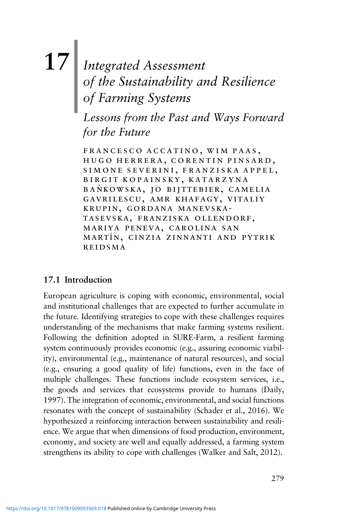# **17**| *Integrated Assessment of the Sustainability and Resilience of Farming Systems*

*Lessons from the Past and Ways Forward for the Future*

francesco accatino, wim paas, hugo herrera, corentin pinsard, simone severini, franziska appel, birgit kopainsky, katarzyna BANKOWSKA, JO BIJTTEBIER, CAMELIA gavrilescu, amr khafagy, vitaliy krupin, gordana manevskatasevska, franziska ollendorf, mariya peneva, carolina san martı´n, cinzia zinnanti and pytrik reidsma

#### **17.1 Introduction**

European agriculture is coping with economic, environmental, social and institutional challenges that are expected to further accumulate in the future. Identifying strategies to cope with these challenges requires understanding of the mechanisms that make farming systems resilient. Following the definition adopted in SURE-Farm, a resilient farming system continuously provides economic (e.g., assuring economic viability), environmental (e.g., maintenance of natural resources), and social (e.g., ensuring a good quality of life) functions, even in the face of multiple challenges. These functions include ecosystem services, i.e., the goods and services that ecosystems provide to humans (Daily, 1997). The integration of economic, environmental, and social functions resonates with the concept of sustainability (Schader et al., 2016). We hypothesized a reinforcing interaction between sustainability and resilience. We argue that when dimensions of food production, environment, economy, and society are well and equally addressed, a farming system strengthens its ability to cope with challenges (Walker and Salt, 2012).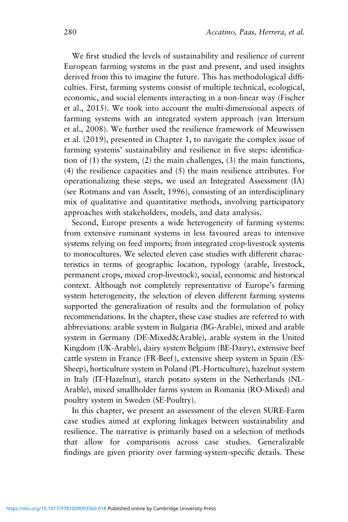We first studied the levels of sustainability and resilience of current European farming systems in the past and present, and used insights derived from this to imagine the future. This has methodological difficulties. First, farming systems consist of multiple technical, ecological, economic, and social elements interacting in a non-linear way (Fischer et al., 2015). We took into account the multi-dimensional aspects of farming systems with an integrated system approach (van Ittersum et al., 2008). We further used the resilience framework of Meuwissen et al. (2019), presented in Chapter 1, to navigate the complex issue of farming systems' sustainability and resilience in five steps: identification of (1) the system, (2) the main challenges, (3) the main functions, (4) the resilience capacities and (5) the main resilience attributes. For operationalizing these steps, we used an Integrated Assessment (IA) (see Rotmans and van Asselt, 1996), consisting of an interdisciplinary mix of qualitative and quantitative methods, involving participatory approaches with stakeholders, models, and data analysis.

Second, Europe presents a wide heterogeneity of farming systems: from extensive ruminant systems in less favoured areas to intensive systems relying on feed imports; from integrated crop-livestock systems to monocultures. We selected eleven case studies with different characteristics in terms of geographic location, typology (arable, livestock, permanent crops, mixed crop-livestock), social, economic and historical context. Although not completely representative of Europe's farming system heterogeneity, the selection of eleven different farming systems supported the generalization of results and the formulation of policy recommendations. In the chapter, these case studies are referred to with abbreviations: arable system in Bulgaria (BG-Arable), mixed and arable system in Germany (DE-Mixed&Arable), arable system in the United Kingdom (UK-Arable), dairy system Belgium (BE-Dairy), extensive beef cattle system in France (FR-Beef ), extensive sheep system in Spain (ES-Sheep), horticulture system in Poland (PL-Horticulture), hazelnut system in Italy (IT-Hazelnut), starch potato system in the Netherlands (NL-Arable), mixed smallholder farms system in Romania (RO-Mixed) and poultry system in Sweden (SE-Poultry).

In this chapter, we present an assessment of the eleven SURE-Farm case studies aimed at exploring linkages between sustainability and resilience. The narrative is primarily based on a selection of methods that allow for comparisons across case studies. Generalizable findings are given priority over farming-system-specific details. These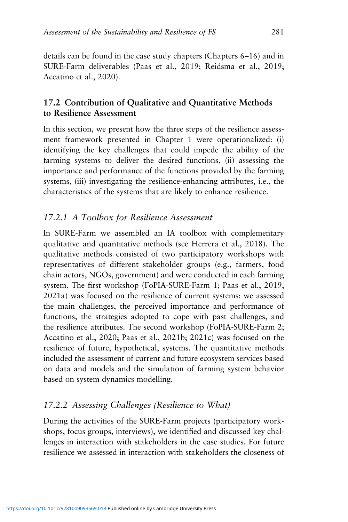details can be found in the case study chapters (Chapters 6–16) and in SURE-Farm deliverables (Paas et al., 2019; Reidsma et al., 2019; Accatino et al., 2020).

### **17.2 Contribution of Qualitative and Quantitative Methods to Resilience Assessment**

In this section, we present how the three steps of the resilience assessment framework presented in Chapter 1 were operationalized: (i) identifying the key challenges that could impede the ability of the farming systems to deliver the desired functions, (ii) assessing the importance and performance of the functions provided by the farming systems, (iii) investigating the resilience-enhancing attributes, i.e., the characteristics of the systems that are likely to enhance resilience.

#### *17.2.1 A Toolbox for Resilience Assessment*

In SURE-Farm we assembled an IA toolbox with complementary qualitative and quantitative methods (see Herrera et al., 2018). The qualitative methods consisted of two participatory workshops with representatives of different stakeholder groups (e.g., farmers, food chain actors, NGOs, government) and were conducted in each farming system. The first workshop (FoPIA-SURE-Farm 1; Paas et al., 2019, 2021a) was focused on the resilience of current systems: we assessed the main challenges, the perceived importance and performance of functions, the strategies adopted to cope with past challenges, and the resilience attributes. The second workshop (FoPIA-SURE-Farm 2; Accatino et al., 2020; Paas et al., 2021b; 2021c) was focused on the resilience of future, hypothetical, systems. The quantitative methods included the assessment of current and future ecosystem services based on data and models and the simulation of farming system behavior based on system dynamics modelling.

#### *17.2.2 Assessing Challenges (Resilience to What)*

During the activities of the SURE-Farm projects (participatory workshops, focus groups, interviews), we identified and discussed key challenges in interaction with stakeholders in the case studies. For future resilience we assessed in interaction with stakeholders the closeness of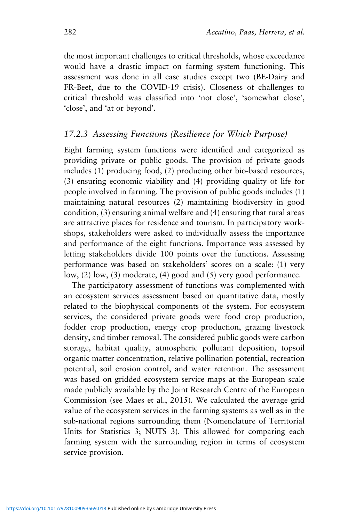the most important challenges to critical thresholds, whose exceedance would have a drastic impact on farming system functioning. This assessment was done in all case studies except two (BE-Dairy and FR-Beef, due to the COVID-19 crisis). Closeness of challenges to critical threshold was classified into 'not close', 'somewhat close', 'close', and 'at or beyond'.

#### *17.2.3 Assessing Functions (Resilience for Which Purpose)*

Eight farming system functions were identified and categorized as providing private or public goods. The provision of private goods includes (1) producing food, (2) producing other bio-based resources, (3) ensuring economic viability and (4) providing quality of life for people involved in farming. The provision of public goods includes (1) maintaining natural resources (2) maintaining biodiversity in good condition, (3) ensuring animal welfare and (4) ensuring that rural areas are attractive places for residence and tourism. In participatory workshops, stakeholders were asked to individually assess the importance and performance of the eight functions. Importance was assessed by letting stakeholders divide 100 points over the functions. Assessing performance was based on stakeholders' scores on a scale: (1) very low, (2) low, (3) moderate, (4) good and (5) very good performance.

The participatory assessment of functions was complemented with an ecosystem services assessment based on quantitative data, mostly related to the biophysical components of the system. For ecosystem services, the considered private goods were food crop production, fodder crop production, energy crop production, grazing livestock density, and timber removal. The considered public goods were carbon storage, habitat quality, atmospheric pollutant deposition, topsoil organic matter concentration, relative pollination potential, recreation potential, soil erosion control, and water retention. The assessment was based on gridded ecosystem service maps at the European scale made publicly available by the Joint Research Centre of the European Commission (see Maes et al., 2015). We calculated the average grid value of the ecosystem services in the farming systems as well as in the sub-national regions surrounding them (Nomenclature of Territorial Units for Statistics 3; NUTS 3). This allowed for comparing each farming system with the surrounding region in terms of ecosystem service provision.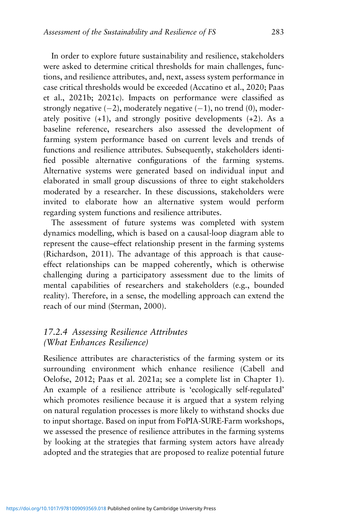In order to explore future sustainability and resilience, stakeholders were asked to determine critical thresholds for main challenges, functions, and resilience attributes, and, next, assess system performance in case critical thresholds would be exceeded (Accatino et al., 2020; Paas et al., 2021b; 2021c). Impacts on performance were classified as strongly negative  $(-2)$ , moderately negative  $(-1)$ , no trend  $(0)$ , moderately positive  $(+1)$ , and strongly positive developments  $(+2)$ . As a baseline reference, researchers also assessed the development of farming system performance based on current levels and trends of functions and resilience attributes. Subsequently, stakeholders identified possible alternative configurations of the farming systems. Alternative systems were generated based on individual input and elaborated in small group discussions of three to eight stakeholders moderated by a researcher. In these discussions, stakeholders were invited to elaborate how an alternative system would perform regarding system functions and resilience attributes.

The assessment of future systems was completed with system dynamics modelling, which is based on a causal-loop diagram able to represent the cause–effect relationship present in the farming systems (Richardson, 2011). The advantage of this approach is that causeeffect relationships can be mapped coherently, which is otherwise challenging during a participatory assessment due to the limits of mental capabilities of researchers and stakeholders (e.g., bounded reality). Therefore, in a sense, the modelling approach can extend the reach of our mind (Sterman, 2000).

### *17.2.4 Assessing Resilience Attributes (What Enhances Resilience)*

Resilience attributes are characteristics of the farming system or its surrounding environment which enhance resilience (Cabell and Oelofse, 2012; Paas et al. 2021a; see a complete list in Chapter 1). An example of a resilience attribute is 'ecologically self-regulated' which promotes resilience because it is argued that a system relying on natural regulation processes is more likely to withstand shocks due to input shortage. Based on input from FoPIA-SURE-Farm workshops, we assessed the presence of resilience attributes in the farming systems by looking at the strategies that farming system actors have already adopted and the strategies that are proposed to realize potential future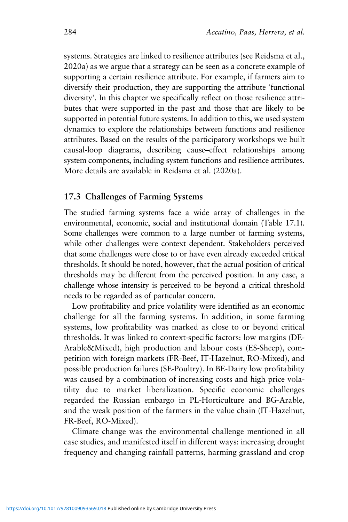systems. Strategies are linked to resilience attributes (see Reidsma et al., 2020a) as we argue that a strategy can be seen as a concrete example of supporting a certain resilience attribute. For example, if farmers aim to diversify their production, they are supporting the attribute 'functional diversity'. In this chapter we specifically reflect on those resilience attributes that were supported in the past and those that are likely to be supported in potential future systems. In addition to this, we used system dynamics to explore the relationships between functions and resilience attributes. Based on the results of the participatory workshops we built causal-loop diagrams, describing cause–effect relationships among system components, including system functions and resilience attributes. More details are available in Reidsma et al. (2020a).

#### **17.3 Challenges of Farming Systems**

The studied farming systems face a wide array of challenges in the environmental, economic, social and institutional domain (Table 17.1). Some challenges were common to a large number of farming systems, while other challenges were context dependent. Stakeholders perceived that some challenges were close to or have even already exceeded critical thresholds. It should be noted, however, that the actual position of critical thresholds may be different from the perceived position. In any case, a challenge whose intensity is perceived to be beyond a critical threshold needs to be regarded as of particular concern.

Low profitability and price volatility were identified as an economic challenge for all the farming systems. In addition, in some farming systems, low profitability was marked as close to or beyond critical thresholds. It was linked to context-specific factors: low margins (DE-Arable&Mixed), high production and labour costs (ES-Sheep), competition with foreign markets (FR-Beef, IT-Hazelnut, RO-Mixed), and possible production failures (SE-Poultry). In BE-Dairy low profitability was caused by a combination of increasing costs and high price volatility due to market liberalization. Specific economic challenges regarded the Russian embargo in PL-Horticulture and BG-Arable, and the weak position of the farmers in the value chain (IT-Hazelnut, FR-Beef, RO-Mixed).

Climate change was the environmental challenge mentioned in all case studies, and manifested itself in different ways: increasing drought frequency and changing rainfall patterns, harming grassland and crop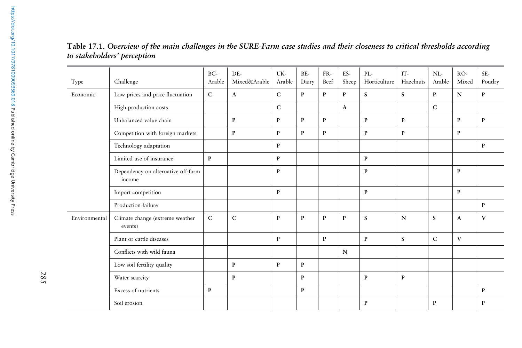| Type          | Challenge                                    | $BG-$<br>Arable | DE-<br>Mixed&Arable | UK-<br>Arable | BE-<br>Dairy | FR-<br>Beef  | ES-<br>Sheep | PL-<br>Horticulture | $\operatorname{IT}$ -<br>Hazelnuts | $NL-$<br>Arable | $RO-$<br>Mixed | SE-<br>Poutlry |
|---------------|----------------------------------------------|-----------------|---------------------|---------------|--------------|--------------|--------------|---------------------|------------------------------------|-----------------|----------------|----------------|
| Economic      | Low prices and price fluctuation             | $\mathsf{C}$    | $\mathbf{A}$        | $\mathsf{C}$  | P            | $\mathbf{P}$ | $\mathbf{p}$ | S                   | S                                  | P               | $\mathbf N$    | $\mathbf{P}$   |
|               | High production costs                        |                 |                     | $\mathbf C$   |              |              | $\mathbf{A}$ |                     |                                    | C               |                |                |
|               | Unbalanced value chain                       |                 | $\mathbf{P}$        | P             | P            | $\mathbf{P}$ |              | $\mathbf{P}$        | P                                  |                 | P              | P              |
|               | Competition with foreign markets             |                 | P                   | P             | P            | $\mathbf{P}$ |              | P                   | P                                  |                 | P              |                |
|               | Technology adaptation                        |                 |                     | P             |              |              |              |                     |                                    |                 |                | P              |
|               | Limited use of insurance                     | P               |                     | P             |              |              |              | P                   |                                    |                 |                |                |
|               | Dependency on alternative off-farm<br>income |                 |                     | $\mathbf{P}$  |              |              |              | P                   |                                    |                 | P              |                |
|               | Import competition                           |                 |                     | $\mathbf{P}$  |              |              |              | $\mathbf{P}$        |                                    |                 | P              |                |
|               | Production failure                           |                 |                     |               |              |              |              |                     |                                    |                 |                | $\mathbf{P}$   |
| Environmental | Climate change (extreme weather<br>events)   | $\mathsf{C}$    | $\mathsf{C}$        | $\mathbf P$   | $\mathbf{P}$ | $\mathbf{P}$ | $\mathbf{p}$ | $\mathbf S$         | $\mathbf N$                        | $\mathbf S$     | $\mathbf{A}$   | V              |
|               | Plant or cattle diseases                     |                 |                     | $\mathbf{P}$  |              | $\mathbf{P}$ |              | $\mathbf{P}$        | S                                  | $\mathsf{C}$    | V              |                |
|               | Conflicts with wild fauna                    |                 |                     |               |              |              | $\mathbf N$  |                     |                                    |                 |                |                |
|               | Low soil fertility quality                   |                 | $\mathbf{P}$        | $\mathbf P$   | P            |              |              |                     |                                    |                 |                |                |
|               | Water scarcity                               |                 | $\mathbf{P}$        |               | P            |              |              | $\mathbf{P}$        | $\mathbf{P}$                       |                 |                |                |
|               | Excess of nutrients                          | P               |                     |               | P            |              |              |                     |                                    |                 |                | P              |
|               | Soil erosion                                 |                 |                     |               |              |              |              | P                   |                                    | P               |                | P              |

Table 17.1. Overview of the main challenges in the SURE-Farm case studies and their closeness to critical thresholds according *to stakeholders' perception*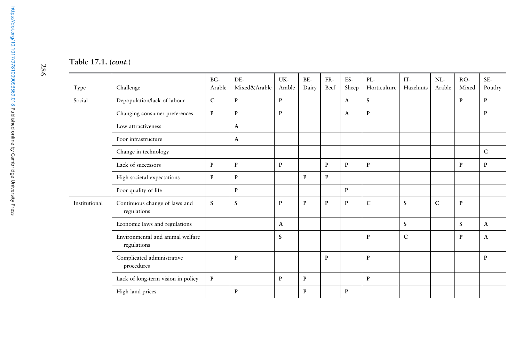| Type          | Challenge                                       | BG-<br>Arable | DE-<br>Mixed&Arable | UK-<br>Arable | BE-<br>Dairy | FR-<br>Beef  | ES-<br>Sheep | PL-<br>Horticulture | IT-<br>Hazelnuts | $NL-$<br>Arable | $RO-$<br>Mixed | SE-<br>Poutlry |
|---------------|-------------------------------------------------|---------------|---------------------|---------------|--------------|--------------|--------------|---------------------|------------------|-----------------|----------------|----------------|
| Social        | Depopulation/lack of labour                     | ${\bf C}$     | $\, {\bf p}$        | P             |              |              | $\mathbf{A}$ | S                   |                  |                 | $\mathbf{P}$   | $\mathbf P$    |
|               | Changing consumer preferences                   | $\mathbf{P}$  | $\mathbf{P}$        | $\mathbf{P}$  |              |              | A            | $\mathbf{P}$        |                  |                 |                | P              |
|               | Low attractiveness                              |               | A                   |               |              |              |              |                     |                  |                 |                |                |
|               | Poor infrastructure                             |               | $\mathbf{A}$        |               |              |              |              |                     |                  |                 |                |                |
|               | Change in technology                            |               |                     |               |              |              |              |                     |                  |                 |                | C              |
|               | Lack of successors                              | $\mathbf{P}$  | $\mathbf{P}$        | $\mathbf{P}$  |              | $\mathbf{P}$ | P            | $\mathbf{P}$        |                  |                 | P              | P              |
|               | High societal expectations                      | $\mathbf{P}$  | $\mathbf{P}$        |               | P            | $\mathbf P$  |              |                     |                  |                 |                |                |
|               | Poor quality of life                            |               | P                   |               |              |              | P            |                     |                  |                 |                |                |
| Institutional | Continuous change of laws and<br>regulations    | S             | S                   | $\mathbf{P}$  | $\mathbf{P}$ | $\mathbf{P}$ | P            | $\mathbf C$         | S                | $\mathbf C$     | $\mathbf{P}$   |                |
|               | Economic laws and regulations                   |               |                     | $\mathbf{A}$  |              |              |              |                     | S                |                 | S.             | A              |
|               | Environmental and animal welfare<br>regulations |               |                     | S             |              |              |              | P                   | $\mathsf{C}$     |                 | P              | A              |
|               | Complicated administrative<br>procedures        |               | P                   |               |              | P            |              | P                   |                  |                 |                | P              |
|               | Lack of long-term vision in policy              | $\mathbf{P}$  |                     | P             | $\mathbf{P}$ |              |              | P                   |                  |                 |                |                |
|               | High land prices                                |               | P                   |               | P            |              | P            |                     |                  |                 |                |                |

286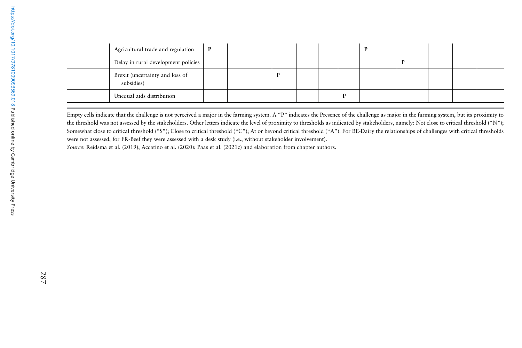| Agricultural trade and regulation             | $\mathbf P$ |  |  | D |  |  |
|-----------------------------------------------|-------------|--|--|---|--|--|
| Delay in rural development policies           |             |  |  |   |  |  |
| Brexit (uncertainty and loss of<br>subsidies) |             |  |  |   |  |  |
| Unequal aids distribution                     |             |  |  |   |  |  |

Empty cells indicate that the challenge is not perceived a major in the farming system. A "P" indicates the Presence of the challenge as major in the farming system, but its proximity to the threshold was not assessed by the stakeholders. Other letters indicate the level of proximity to thresholds as indicated by stakeholders, namely: Not close to critical threshold ("N"); Somewhat close to critical threshold ("S"); Close to critical threshold ("C"); At or beyond critical threshold ("A"). For BE-Dairy the relationships of challenges with critical thresholds were not assessed, for FR-Beef they were assessed with <sup>a</sup> desk study (i.e., without stakeholder involvement).

*Source*: Reidsma et al. (2019); Accatino et al. (2020); Paas et al. (2021c) and elaboration from chapter authors.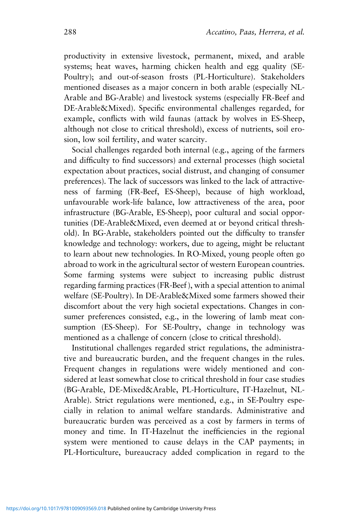productivity in extensive livestock, permanent, mixed, and arable systems; heat waves, harming chicken health and egg quality (SE-Poultry); and out-of-season frosts (PL-Horticulture). Stakeholders mentioned diseases as a major concern in both arable (especially NL-Arable and BG-Arable) and livestock systems (especially FR-Beef and DE-Arable&Mixed). Specific environmental challenges regarded, for example, conflicts with wild faunas (attack by wolves in ES-Sheep, although not close to critical threshold), excess of nutrients, soil erosion, low soil fertility, and water scarcity.

Social challenges regarded both internal (e.g., ageing of the farmers and difficulty to find successors) and external processes (high societal expectation about practices, social distrust, and changing of consumer preferences). The lack of successors was linked to the lack of attractiveness of farming (FR-Beef, ES-Sheep), because of high workload, unfavourable work-life balance, low attractiveness of the area, poor infrastructure (BG-Arable, ES-Sheep), poor cultural and social opportunities (DE-Arable&Mixed, even deemed at or beyond critical threshold). In BG-Arable, stakeholders pointed out the difficulty to transfer knowledge and technology: workers, due to ageing, might be reluctant to learn about new technologies. In RO-Mixed, young people often go abroad to work in the agricultural sector of western European countries. Some farming systems were subject to increasing public distrust regarding farming practices (FR-Beef ), with a special attention to animal welfare (SE-Poultry). In DE-Arable&Mixed some farmers showed their discomfort about the very high societal expectations. Changes in consumer preferences consisted, e.g., in the lowering of lamb meat consumption (ES-Sheep). For SE-Poultry, change in technology was mentioned as a challenge of concern (close to critical threshold).

Institutional challenges regarded strict regulations, the administrative and bureaucratic burden, and the frequent changes in the rules. Frequent changes in regulations were widely mentioned and considered at least somewhat close to critical threshold in four case studies (BG-Arable, DE-Mixed&Arable, PL-Horticulture, IT-Hazelnut, NL-Arable). Strict regulations were mentioned, e.g., in SE-Poultry especially in relation to animal welfare standards. Administrative and bureaucratic burden was perceived as a cost by farmers in terms of money and time. In IT-Hazelnut the inefficiencies in the regional system were mentioned to cause delays in the CAP payments; in PL-Horticulture, bureaucracy added complication in regard to the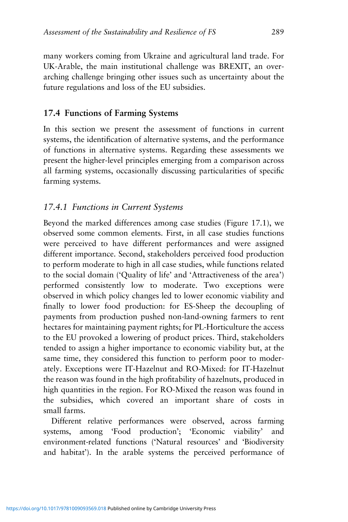many workers coming from Ukraine and agricultural land trade. For UK-Arable, the main institutional challenge was BREXIT, an overarching challenge bringing other issues such as uncertainty about the future regulations and loss of the EU subsidies.

#### **17.4 Functions of Farming Systems**

In this section we present the assessment of functions in current systems, the identification of alternative systems, and the performance of functions in alternative systems. Regarding these assessments we present the higher-level principles emerging from a comparison across all farming systems, occasionally discussing particularities of specific farming systems.

### *17.4.1 Functions in Current Systems*

Beyond the marked differences among case studies (Figure 17.1), we observed some common elements. First, in all case studies functions were perceived to have different performances and were assigned different importance. Second, stakeholders perceived food production to perform moderate to high in all case studies, while functions related to the social domain ('Quality of life' and 'Attractiveness of the area') performed consistently low to moderate. Two exceptions were observed in which policy changes led to lower economic viability and finally to lower food production: for ES-Sheep the decoupling of payments from production pushed non-land-owning farmers to rent hectares for maintaining payment rights; for PL-Horticulture the access to the EU provoked a lowering of product prices. Third, stakeholders tended to assign a higher importance to economic viability but, at the same time, they considered this function to perform poor to moderately. Exceptions were IT-Hazelnut and RO-Mixed: for IT-Hazelnut the reason was found in the high profitability of hazelnuts, produced in high quantities in the region. For RO-Mixed the reason was found in the subsidies, which covered an important share of costs in small farms.

Different relative performances were observed, across farming systems, among 'Food production'; 'Economic viability' and environment-related functions ('Natural resources' and 'Biodiversity and habitat'). In the arable systems the perceived performance of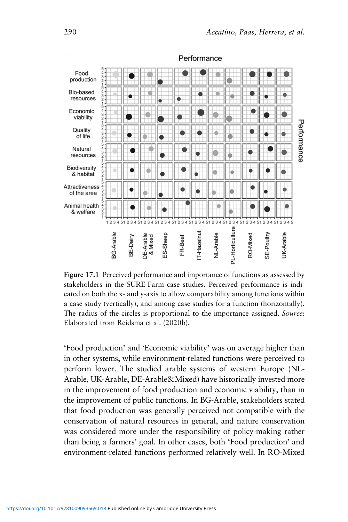

Performance

**Figure 17.1** Perceived performance and importance of functions as assessed by stakeholders in the SURE-Farm case studies. Perceived performance is indicated on both the x- and y-axis to allow comparability among functions within a case study (vertically), and among case studies for a function (horizontally). The radius of the circles is proportional to the importance assigned. *Source*: Elaborated from Reidsma et al. (2020b).

'Food production' and 'Economic viability' was on average higher than in other systems, while environment-related functions were perceived to perform lower. The studied arable systems of western Europe (NL-Arable, UK-Arable, DE-Arable&Mixed) have historically invested more in the improvement of food production and economic viability, than in the improvement of public functions. In BG-Arable, stakeholders stated that food production was generally perceived not compatible with the conservation of natural resources in general, and nature conservation was considered more under the responsibility of policy-making rather than being a farmers' goal. In other cases, both 'Food production' and environment-related functions performed relatively well. In RO-Mixed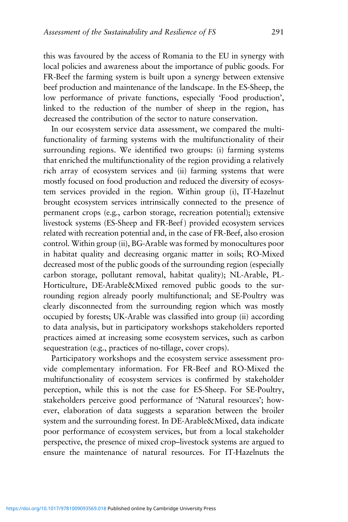this was favoured by the access of Romania to the EU in synergy with local policies and awareness about the importance of public goods. For FR-Beef the farming system is built upon a synergy between extensive beef production and maintenance of the landscape. In the ES-Sheep, the low performance of private functions, especially 'Food production', linked to the reduction of the number of sheep in the region, has decreased the contribution of the sector to nature conservation.

In our ecosystem service data assessment, we compared the multifunctionality of farming systems with the multifunctionality of their surrounding regions. We identified two groups: (i) farming systems that enriched the multifunctionality of the region providing a relatively rich array of ecosystem services and (ii) farming systems that were mostly focused on food production and reduced the diversity of ecosystem services provided in the region. Within group (i), IT-Hazelnut brought ecosystem services intrinsically connected to the presence of permanent crops (e.g., carbon storage, recreation potential); extensive livestock systems (ES-Sheep and FR-Beef ) provided ecosystem services related with recreation potential and, in the case of FR-Beef, also erosion control. Within group (ii), BG-Arable was formed by monocultures poor in habitat quality and decreasing organic matter in soils; RO-Mixed decreased most of the public goods of the surrounding region (especially carbon storage, pollutant removal, habitat quality); NL-Arable, PL-Horticulture, DE-Arable&Mixed removed public goods to the surrounding region already poorly multifunctional; and SE-Poultry was clearly disconnected from the surrounding region which was mostly occupied by forests; UK-Arable was classified into group (ii) according to data analysis, but in participatory workshops stakeholders reported practices aimed at increasing some ecosystem services, such as carbon sequestration (e.g., practices of no-tillage, cover crops).

Participatory workshops and the ecosystem service assessment provide complementary information. For FR-Beef and RO-Mixed the multifunctionality of ecosystem services is confirmed by stakeholder perception, while this is not the case for ES-Sheep. For SE-Poultry, stakeholders perceive good performance of 'Natural resources'; however, elaboration of data suggests a separation between the broiler system and the surrounding forest. In DE-Arable&Mixed, data indicate poor performance of ecosystem services, but from a local stakeholder perspective, the presence of mixed crop–livestock systems are argued to ensure the maintenance of natural resources. For IT-Hazelnuts the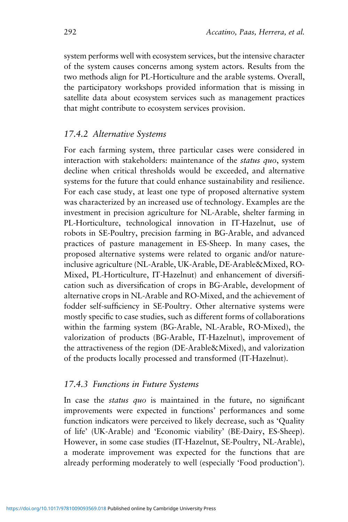system performs well with ecosystem services, but the intensive character of the system causes concerns among system actors. Results from the two methods align for PL-Horticulture and the arable systems. Overall, the participatory workshops provided information that is missing in satellite data about ecosystem services such as management practices that might contribute to ecosystem services provision.

#### *17.4.2 Alternative Systems*

For each farming system, three particular cases were considered in interaction with stakeholders: maintenance of the *status quo*, system decline when critical thresholds would be exceeded, and alternative systems for the future that could enhance sustainability and resilience. For each case study, at least one type of proposed alternative system was characterized by an increased use of technology. Examples are the investment in precision agriculture for NL-Arable, shelter farming in PL-Horticulture, technological innovation in IT-Hazelnut, use of robots in SE-Poultry, precision farming in BG-Arable, and advanced practices of pasture management in ES-Sheep. In many cases, the proposed alternative systems were related to organic and/or natureinclusive agriculture (NL-Arable, UK-Arable, DE-Arable&Mixed, RO-Mixed, PL-Horticulture, IT-Hazelnut) and enhancement of diversification such as diversification of crops in BG-Arable, development of alternative crops in NL-Arable and RO-Mixed, and the achievement of fodder self-sufficiency in SE-Poultry. Other alternative systems were mostly specific to case studies, such as different forms of collaborations within the farming system (BG-Arable, NL-Arable, RO-Mixed), the valorization of products (BG-Arable, IT-Hazelnut), improvement of the attractiveness of the region (DE-Arable&Mixed), and valorization of the products locally processed and transformed (IT-Hazelnut).

#### *17.4.3 Functions in Future Systems*

In case the *status quo* is maintained in the future, no significant improvements were expected in functions' performances and some function indicators were perceived to likely decrease, such as 'Quality of life' (UK-Arable) and 'Economic viability' (BE-Dairy, ES-Sheep). However, in some case studies (IT-Hazelnut, SE-Poultry, NL-Arable), a moderate improvement was expected for the functions that are already performing moderately to well (especially 'Food production').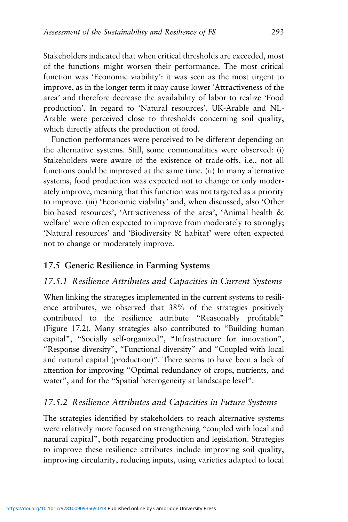Stakeholders indicated that when critical thresholds are exceeded, most of the functions might worsen their performance. The most critical function was 'Economic viability': it was seen as the most urgent to improve, as in the longer term it may cause lower 'Attractiveness of the area' and therefore decrease the availability of labor to realize 'Food production'. In regard to 'Natural resources', UK-Arable and NL-Arable were perceived close to thresholds concerning soil quality, which directly affects the production of food.

Function performances were perceived to be different depending on the alternative systems. Still, some commonalities were observed: (i) Stakeholders were aware of the existence of trade-offs, i.e., not all functions could be improved at the same time. (ii) In many alternative systems, food production was expected not to change or only moderately improve, meaning that this function was not targeted as a priority to improve. (iii) 'Economic viability' and, when discussed, also 'Other bio-based resources', 'Attractiveness of the area', 'Animal health & welfare' were often expected to improve from moderately to strongly; 'Natural resources' and 'Biodiversity & habitat' were often expected not to change or moderately improve.

#### **17.5 Generic Resilience in Farming Systems**

#### *17.5.1 Resilience Attributes and Capacities in Current Systems*

When linking the strategies implemented in the current systems to resilience attributes, we observed that 38% of the strategies positively contributed to the resilience attribute "Reasonably profitable" (Figure 17.2). Many strategies also contributed to "Building human capital", "Socially self-organized", "Infrastructure for innovation", "Response diversity", "Functional diversity" and "Coupled with local and natural capital (production)". There seems to have been a lack of attention for improving "Optimal redundancy of crops, nutrients, and water", and for the "Spatial heterogeneity at landscape level".

#### *17.5.2 Resilience Attributes and Capacities in Future Systems*

The strategies identified by stakeholders to reach alternative systems were relatively more focused on strengthening "coupled with local and natural capital", both regarding production and legislation. Strategies to improve these resilience attributes include improving soil quality, improving circularity, reducing inputs, using varieties adapted to local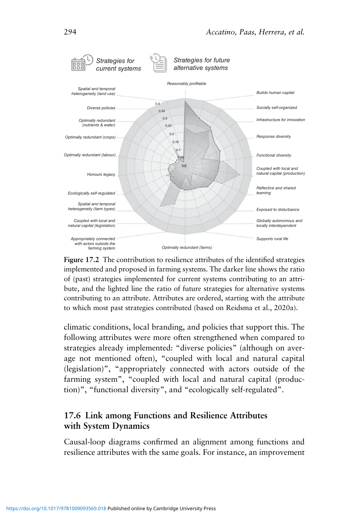

**Figure 17.2** The contribution to resilience attributes of the identified strategies implemented and proposed in farming systems. The darker line shows the ratio of (past) strategies implemented for current systems contributing to an attribute, and the lighted line the ratio of future strategies for alternative systems contributing to an attribute. Attributes are ordered, starting with the attribute to which most past strategies contributed (based on Reidsma et al., 2020a).

climatic conditions, local branding, and policies that support this. The following attributes were more often strengthened when compared to strategies already implemented: "diverse policies" (although on average not mentioned often), "coupled with local and natural capital (legislation)", "appropriately connected with actors outside of the farming system", "coupled with local and natural capital (production)", "functional diversity", and "ecologically self-regulated".

#### **17.6 Link among Functions and Resilience Attributes with System Dynamics**

Causal-loop diagrams confirmed an alignment among functions and resilience attributes with the same goals. For instance, an improvement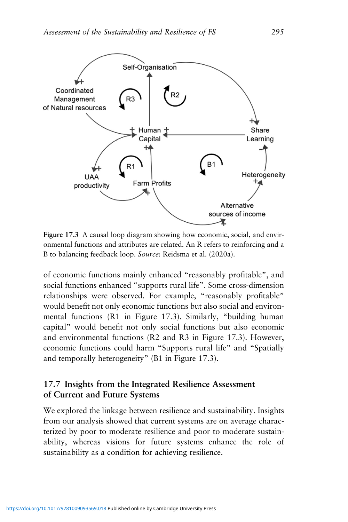

**Figure 17.3** A causal loop diagram showing how economic, social, and environmental functions and attributes are related. An R refers to reinforcing and a B to balancing feedback loop. *Source*: Reidsma et al. (2020a).

of economic functions mainly enhanced "reasonably profitable", and social functions enhanced "supports rural life". Some cross-dimension relationships were observed. For example, "reasonably profitable" would benefit not only economic functions but also social and environmental functions (R1 in Figure 17.3). Similarly, "building human capital" would benefit not only social functions but also economic and environmental functions (R2 and R3 in Figure 17.3). However, economic functions could harm "Supports rural life" and "Spatially and temporally heterogeneity" (B1 in Figure 17.3).

#### **17.7 Insights from the Integrated Resilience Assessment of Current and Future Systems**

We explored the linkage between resilience and sustainability. Insights from our analysis showed that current systems are on average characterized by poor to moderate resilience and poor to moderate sustainability, whereas visions for future systems enhance the role of sustainability as a condition for achieving resilience.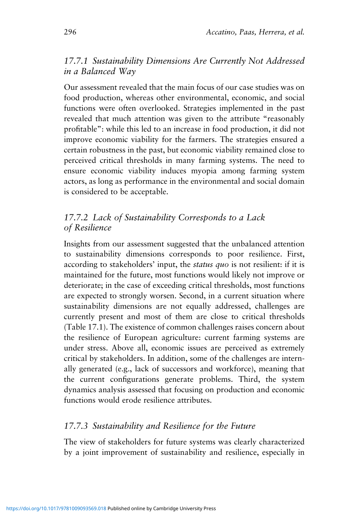#### *17.7.1 Sustainability Dimensions Are Currently Not Addressed in a Balanced Way*

Our assessment revealed that the main focus of our case studies was on food production, whereas other environmental, economic, and social functions were often overlooked. Strategies implemented in the past revealed that much attention was given to the attribute "reasonably profitable": while this led to an increase in food production, it did not improve economic viability for the farmers. The strategies ensured a certain robustness in the past, but economic viability remained close to perceived critical thresholds in many farming systems. The need to ensure economic viability induces myopia among farming system actors, as long as performance in the environmental and social domain is considered to be acceptable.

### *17.7.2 Lack of Sustainability Corresponds to a Lack of Resilience*

Insights from our assessment suggested that the unbalanced attention to sustainability dimensions corresponds to poor resilience. First, according to stakeholders' input, the *status quo* is not resilient: if it is maintained for the future, most functions would likely not improve or deteriorate; in the case of exceeding critical thresholds, most functions are expected to strongly worsen. Second, in a current situation where sustainability dimensions are not equally addressed, challenges are currently present and most of them are close to critical thresholds (Table 17.1). The existence of common challenges raises concern about the resilience of European agriculture: current farming systems are under stress. Above all, economic issues are perceived as extremely critical by stakeholders. In addition, some of the challenges are internally generated (e.g., lack of successors and workforce), meaning that the current configurations generate problems. Third, the system dynamics analysis assessed that focusing on production and economic functions would erode resilience attributes.

## *17.7.3 Sustainability and Resilience for the Future*

The view of stakeholders for future systems was clearly characterized by a joint improvement of sustainability and resilience, especially in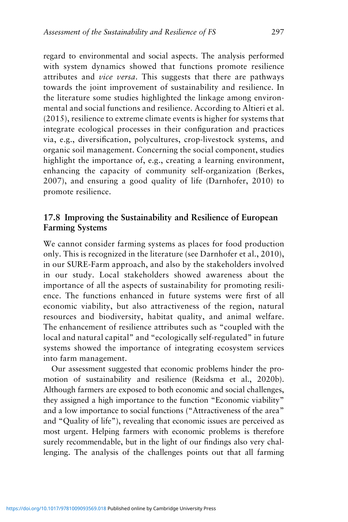regard to environmental and social aspects. The analysis performed with system dynamics showed that functions promote resilience attributes and *vice versa*. This suggests that there are pathways towards the joint improvement of sustainability and resilience. In the literature some studies highlighted the linkage among environmental and social functions and resilience. According to Altieri et al. (2015), resilience to extreme climate events is higher for systems that integrate ecological processes in their configuration and practices via, e.g., diversification, polycultures, crop-livestock systems, and organic soil management. Concerning the social component, studies highlight the importance of, e.g., creating a learning environment, enhancing the capacity of community self-organization (Berkes, 2007), and ensuring a good quality of life (Darnhofer, 2010) to promote resilience.

### **17.8 Improving the Sustainability and Resilience of European Farming Systems**

We cannot consider farming systems as places for food production only. This is recognized in the literature (see Darnhofer et al., 2010), in our SURE-Farm approach, and also by the stakeholders involved in our study. Local stakeholders showed awareness about the importance of all the aspects of sustainability for promoting resilience. The functions enhanced in future systems were first of all economic viability, but also attractiveness of the region, natural resources and biodiversity, habitat quality, and animal welfare. The enhancement of resilience attributes such as "coupled with the local and natural capital" and "ecologically self-regulated" in future systems showed the importance of integrating ecosystem services into farm management.

Our assessment suggested that economic problems hinder the promotion of sustainability and resilience (Reidsma et al., 2020b). Although farmers are exposed to both economic and social challenges, they assigned a high importance to the function "Economic viability" and a low importance to social functions ("Attractiveness of the area" and "Quality of life"), revealing that economic issues are perceived as most urgent. Helping farmers with economic problems is therefore surely recommendable, but in the light of our findings also very challenging. The analysis of the challenges points out that all farming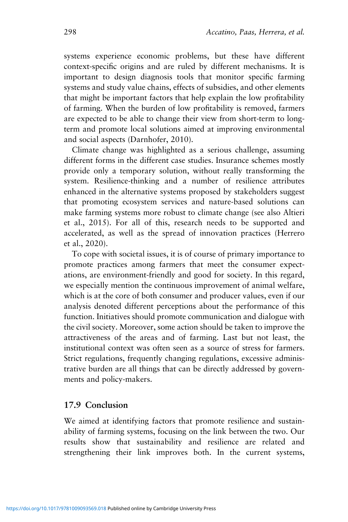systems experience economic problems, but these have different context-specific origins and are ruled by different mechanisms. It is important to design diagnosis tools that monitor specific farming systems and study value chains, effects of subsidies, and other elements that might be important factors that help explain the low profitability of farming. When the burden of low profitability is removed, farmers are expected to be able to change their view from short-term to longterm and promote local solutions aimed at improving environmental and social aspects (Darnhofer, 2010).

Climate change was highlighted as a serious challenge, assuming different forms in the different case studies. Insurance schemes mostly provide only a temporary solution, without really transforming the system. Resilience-thinking and a number of resilience attributes enhanced in the alternative systems proposed by stakeholders suggest that promoting ecosystem services and nature-based solutions can make farming systems more robust to climate change (see also Altieri et al., 2015). For all of this, research needs to be supported and accelerated, as well as the spread of innovation practices (Herrero et al., 2020).

To cope with societal issues, it is of course of primary importance to promote practices among farmers that meet the consumer expectations, are environment-friendly and good for society. In this regard, we especially mention the continuous improvement of animal welfare, which is at the core of both consumer and producer values, even if our analysis denoted different perceptions about the performance of this function. Initiatives should promote communication and dialogue with the civil society. Moreover, some action should be taken to improve the attractiveness of the areas and of farming. Last but not least, the institutional context was often seen as a source of stress for farmers. Strict regulations, frequently changing regulations, excessive administrative burden are all things that can be directly addressed by governments and policy-makers.

#### **17.9 Conclusion**

We aimed at identifying factors that promote resilience and sustainability of farming systems, focusing on the link between the two. Our results show that sustainability and resilience are related and strengthening their link improves both. In the current systems,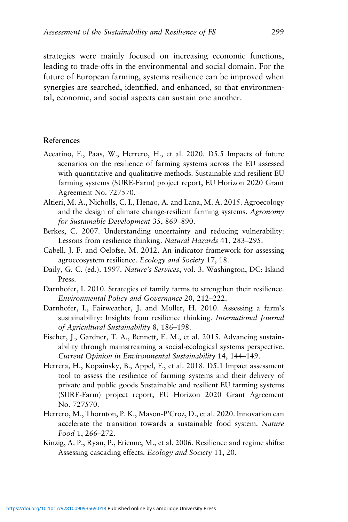strategies were mainly focused on increasing economic functions, leading to trade-offs in the environmental and social domain. For the future of European farming, systems resilience can be improved when synergies are searched, identified, and enhanced, so that environmental, economic, and social aspects can sustain one another.

#### **References**

- Accatino, F., Paas, W., Herrero, H., et al. 2020. D5.5 Impacts of future scenarios on the resilience of farming systems across the EU assessed with quantitative and qualitative methods. Sustainable and resilient EU farming systems (SURE-Farm) project report, EU Horizon 2020 Grant Agreement No. 727570.
- Altieri, M. A., Nicholls, C. I., Henao, A. and Lana, M. A. 2015. Agroecology and the design of climate change-resilient farming systems. *Agronomy for Sustainable Development* 35, 869–890.
- Berkes, C. 2007. Understanding uncertainty and reducing vulnerability: Lessons from resilience thinking. *Natural Hazards* 41, 283–295.
- Cabell, J. F. and Oelofse, M. 2012. An indicator framework for assessing agroecosystem resilience. *Ecology and Society* 17, 18.
- Daily, G. C. (ed.). 1997. *Nature's Services*, vol. 3. Washington, DC: Island Press.
- Darnhofer, I. 2010. Strategies of family farms to strengthen their resilience. *Environmental Policy and Governance* 20, 212–222.
- Darnhofer, I., Fairweather, J. and Moller, H. 2010. Assessing a farm's sustainability: Insights from resilience thinking. *International Journal of Agricultural Sustainability* 8, 186–198.
- Fischer, J., Gardner, T. A., Bennett, E. M., et al. 2015. Advancing sustainability through mainstreaming a social-ecological systems perspective. *Current Opinion in Environmental Sustainability* 14, 144–149.
- Herrera, H., Kopainsky, B., Appel, F., et al. 2018. D5.1 Impact assessment tool to assess the resilience of farming systems and their delivery of private and public goods Sustainable and resilient EU farming systems (SURE-Farm) project report, EU Horizon 2020 Grant Agreement No. 727570.
- Herrero, M., Thornton, P. K., Mason-P'Croz, D., et al. 2020. Innovation can accelerate the transition towards a sustainable food system. *Nature Food* 1, 266–272.
- Kinzig, A. P., Ryan, P., Etienne, M., et al. 2006. Resilience and regime shifts: Assessing cascading effects. *Ecology and Society* 11, 20.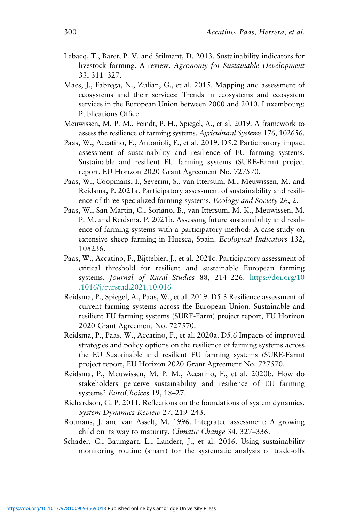- Lebacq, T., Baret, P. V. and Stilmant, D. 2013. Sustainability indicators for livestock farming. A review. *Agronomy for Sustainable Development* 33, 311–327.
- Maes, J., Fabrega, N., Zulian, G., et al. 2015. Mapping and assessment of ecosystems and their services: Trends in ecosystems and ecosystem services in the European Union between 2000 and 2010. Luxembourg: Publications Office.
- Meuwissen, M. P. M., Feindt, P. H., Spiegel, A., et al. 2019. A framework to assess the resilience of farming systems. *Agricultural Systems* 176, 102656.
- Paas, W., Accatino, F., Antonioli, F., et al. 2019. D5.2 Participatory impact assessment of sustainability and resilience of EU farming systems. Sustainable and resilient EU farming systems (SURE-Farm) project report. EU Horizon 2020 Grant Agreement No. 727570.
- Paas, W., Coopmans, I., Severini, S., van Ittersum, M., Meuwissen, M. and Reidsma, P. 2021a. Participatory assessment of sustainability and resilience of three specialized farming systems. *Ecology and Society* 26, 2.
- Paas, W., San Martín, C., Soriano, B., van Ittersum, M. K., Meuwissen, M. P. M. and Reidsma, P. 2021b. Assessing future sustainability and resilience of farming systems with a participatory method: A case study on extensive sheep farming in Huesca, Spain. *Ecological Indicators* 132, 108236.
- Paas, W., Accatino, F., Bijttebier, J., et al. 2021c. Participatory assessment of critical threshold for resilient and sustainable European farming systems. *Journal of Rural Studies* 88, 214–226. [https://doi.org/10](https://doi.org/10.1016/j.jrurstud.2021.10.016) [.1016/j.jrurstud.2021.10.016](https://doi.org/10.1016/j.jrurstud.2021.10.016)
- Reidsma, P., Spiegel, A., Paas, W., et al. 2019. D5.3 Resilience assessment of current farming systems across the European Union. Sustainable and resilient EU farming systems (SURE-Farm) project report, EU Horizon 2020 Grant Agreement No. 727570.
- Reidsma, P., Paas, W., Accatino, F., et al. 2020a. D5.6 Impacts of improved strategies and policy options on the resilience of farming systems across the EU Sustainable and resilient EU farming systems (SURE-Farm) project report, EU Horizon 2020 Grant Agreement No. 727570.
- Reidsma, P., Meuwissen, M. P. M., Accatino, F., et al. 2020b. How do stakeholders perceive sustainability and resilience of EU farming systems? *EuroChoices* 19, 18–27.
- Richardson, G. P. 2011. Reflections on the foundations of system dynamics. *System Dynamics Review* 27, 219–243.
- Rotmans, J. and van Asselt, M. 1996. Integrated assessment: A growing child on its way to maturity. *Climatic Change* 34, 327–336.
- Schader, C., Baumgart, L., Landert, J., et al. 2016. Using sustainability monitoring routine (smart) for the systematic analysis of trade-offs